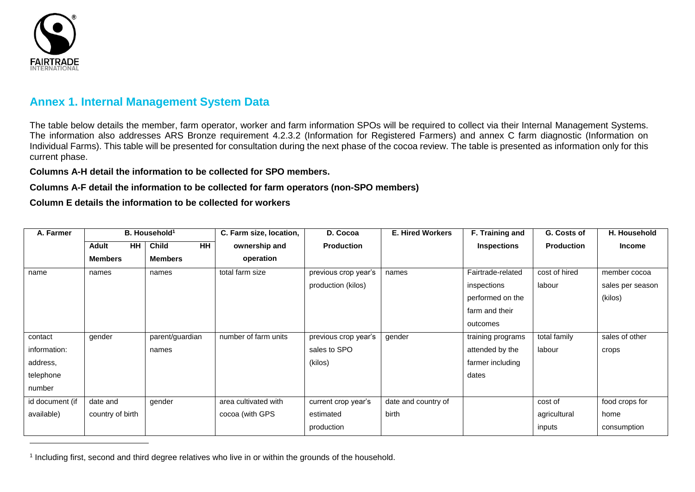

-

## **Annex 1. Internal Management System Data**

The table below details the member, farm operator, worker and farm information SPOs will be required to collect via their Internal Management Systems. The information also addresses ARS Bronze requirement 4.2.3.2 (Information for Registered Farmers) and annex C farm diagnostic (Information on Individual Farms). This table will be presented for consultation during the next phase of the cocoa review. The table is presented as information only for this current phase.

**Columns A-H detail the information to be collected for SPO members.**

**Columns A-F detail the information to be collected for farm operators (non-SPO members)**

**Column E details the information to be collected for workers**

| A. Farmer       | B. Household <sup>1</sup> |                           | C. Farm size, location, | D. Cocoa             | <b>E. Hired Workers</b> | F. Training and    | G. Costs of       | H. Household     |
|-----------------|---------------------------|---------------------------|-------------------------|----------------------|-------------------------|--------------------|-------------------|------------------|
|                 | <b>HH</b><br><b>Adult</b> | <b>HH</b><br><b>Child</b> | ownership and           | <b>Production</b>    |                         | <b>Inspections</b> | <b>Production</b> | <b>Income</b>    |
|                 | <b>Members</b>            | <b>Members</b>            | operation               |                      |                         |                    |                   |                  |
| name            | names                     | names                     | total farm size         | previous crop year's | names                   | Fairtrade-related  | cost of hired     | member cocoa     |
|                 |                           |                           |                         | production (kilos)   |                         | inspections        | labour            | sales per season |
|                 |                           |                           |                         |                      |                         | performed on the   |                   | (kilos)          |
|                 |                           |                           |                         |                      |                         | farm and their     |                   |                  |
|                 |                           |                           |                         |                      |                         | outcomes           |                   |                  |
| contact         | gender                    | parent/guardian           | number of farm units    | previous crop year's | gender                  | training programs  | total family      | sales of other   |
| information:    |                           | names                     |                         | sales to SPO         |                         | attended by the    | labour            | crops            |
| address,        |                           |                           |                         | (kilos)              |                         | farmer including   |                   |                  |
| telephone       |                           |                           |                         |                      |                         | dates              |                   |                  |
| number          |                           |                           |                         |                      |                         |                    |                   |                  |
| id document (if | date and                  | gender                    | area cultivated with    | current crop year's  | date and country of     |                    | cost of           | food crops for   |
| available)      | country of birth          |                           | cocoa (with GPS         | estimated            | birth                   |                    | agricultural      | home             |
|                 |                           |                           |                         | production           |                         |                    | inputs            | consumption      |

<sup>1</sup> Including first, second and third degree relatives who live in or within the grounds of the household.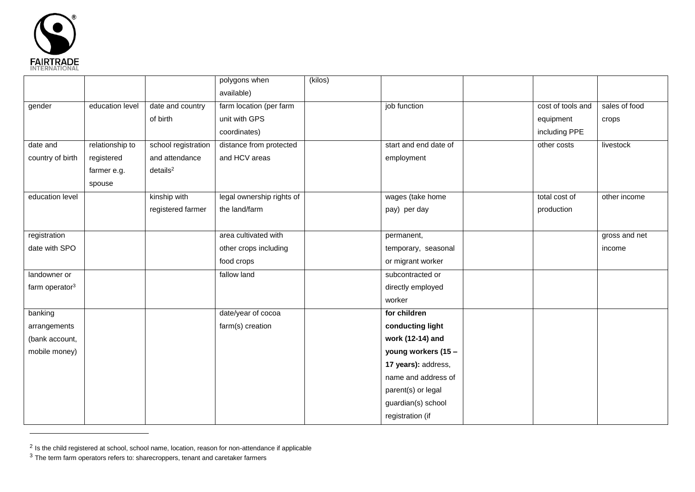

-

|                            |                 |                         | polygons when             | (kilos) |                       |                   |               |
|----------------------------|-----------------|-------------------------|---------------------------|---------|-----------------------|-------------------|---------------|
|                            |                 |                         | available)                |         |                       |                   |               |
| gender                     | education level | date and country        | farm location (per farm   |         | job function          | cost of tools and | sales of food |
|                            |                 | of birth                | unit with GPS             |         |                       | equipment         | crops         |
|                            |                 |                         | coordinates)              |         |                       | including PPE     |               |
| date and                   | relationship to | school registration     | distance from protected   |         | start and end date of | other costs       | livestock     |
| country of birth           | registered      | and attendance          | and HCV areas             |         | employment            |                   |               |
|                            | farmer e.g.     | $deta$ ils <sup>2</sup> |                           |         |                       |                   |               |
|                            | spouse          |                         |                           |         |                       |                   |               |
| education level            |                 | kinship with            | legal ownership rights of |         | wages (take home      | total cost of     | other income  |
|                            |                 | registered farmer       | the land/farm             |         | pay) per day          | production        |               |
|                            |                 |                         |                           |         |                       |                   |               |
| registration               |                 |                         | area cultivated with      |         | permanent,            |                   | gross and net |
| date with SPO              |                 |                         | other crops including     |         | temporary, seasonal   |                   | income        |
|                            |                 |                         | food crops                |         | or migrant worker     |                   |               |
| landowner or               |                 |                         | fallow land               |         | subcontracted or      |                   |               |
| farm operator <sup>3</sup> |                 |                         |                           |         | directly employed     |                   |               |
|                            |                 |                         |                           |         | worker                |                   |               |
| banking                    |                 |                         | date/year of cocoa        |         | for children          |                   |               |
| arrangements               |                 |                         | farm(s) creation          |         | conducting light      |                   |               |
| (bank account,             |                 |                         |                           |         | work (12-14) and      |                   |               |
| mobile money)              |                 |                         |                           |         | young workers (15 -   |                   |               |
|                            |                 |                         |                           |         | 17 years): address,   |                   |               |
|                            |                 |                         |                           |         | name and address of   |                   |               |
|                            |                 |                         |                           |         | parent(s) or legal    |                   |               |
|                            |                 |                         |                           |         | guardian(s) school    |                   |               |
|                            |                 |                         |                           |         | registration (if      |                   |               |

<sup>&</sup>lt;sup>2</sup> Is the child registered at school, school name, location, reason for non-attendance if applicable

 $3$  The term farm operators refers to: sharecroppers, tenant and caretaker farmers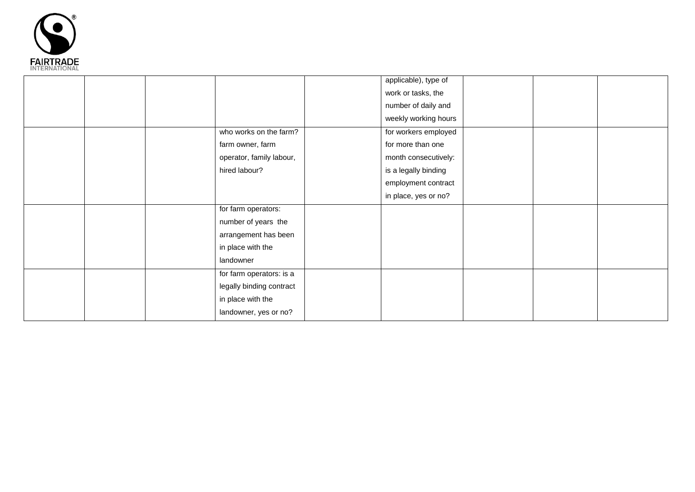

|  |  |                          | applicable), type of |  |  |
|--|--|--------------------------|----------------------|--|--|
|  |  |                          | work or tasks, the   |  |  |
|  |  |                          | number of daily and  |  |  |
|  |  |                          | weekly working hours |  |  |
|  |  | who works on the farm?   | for workers employed |  |  |
|  |  | farm owner, farm         | for more than one    |  |  |
|  |  | operator, family labour, | month consecutively: |  |  |
|  |  | hired labour?            | is a legally binding |  |  |
|  |  |                          | employment contract  |  |  |
|  |  |                          | in place, yes or no? |  |  |
|  |  | for farm operators:      |                      |  |  |
|  |  | number of years the      |                      |  |  |
|  |  | arrangement has been     |                      |  |  |
|  |  | in place with the        |                      |  |  |
|  |  | landowner                |                      |  |  |
|  |  | for farm operators: is a |                      |  |  |
|  |  | legally binding contract |                      |  |  |
|  |  | in place with the        |                      |  |  |
|  |  | landowner, yes or no?    |                      |  |  |
|  |  |                          |                      |  |  |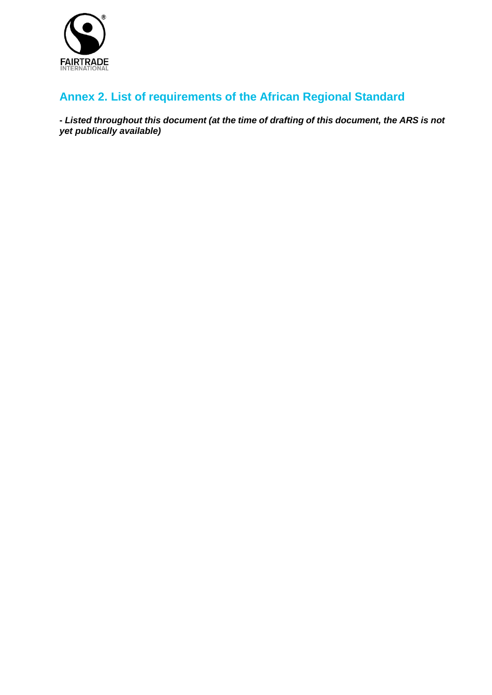

## **Annex 2. List of requirements of the African Regional Standard**

**-** *Listed throughout this document (at the time of drafting of this document, the ARS is not yet publically available)*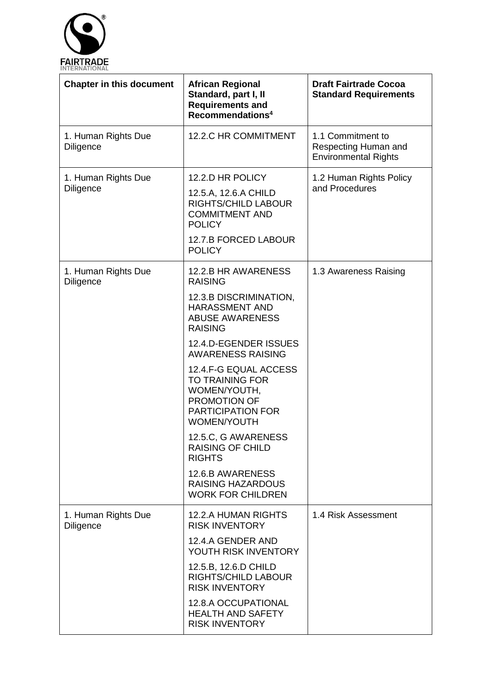

| <b>Chapter in this document</b>         | <b>African Regional</b><br>Standard, part I, II<br><b>Requirements and</b><br>Recommendations <sup>4</sup>                 | <b>Draft Fairtrade Cocoa</b><br><b>Standard Requirements</b>             |
|-----------------------------------------|----------------------------------------------------------------------------------------------------------------------------|--------------------------------------------------------------------------|
| 1. Human Rights Due<br><b>Diligence</b> | 12.2.C HR COMMITMENT                                                                                                       | 1.1 Commitment to<br>Respecting Human and<br><b>Environmental Rights</b> |
| 1. Human Rights Due                     | 12.2.D HR POLICY                                                                                                           | 1.2 Human Rights Policy                                                  |
| Diligence                               | 12.5.A, 12.6.A CHILD<br><b>RIGHTS/CHILD LABOUR</b><br><b>COMMITMENT AND</b><br><b>POLICY</b>                               | and Procedures                                                           |
|                                         | 12.7.B FORCED LABOUR<br><b>POLICY</b>                                                                                      |                                                                          |
| 1. Human Rights Due<br><b>Diligence</b> | 12.2.B HR AWARENESS<br><b>RAISING</b>                                                                                      | 1.3 Awareness Raising                                                    |
|                                         | 12.3.B DISCRIMINATION,<br><b>HARASSMENT AND</b><br><b>ABUSE AWARENESS</b><br><b>RAISING</b>                                |                                                                          |
|                                         | 12.4.D-EGENDER ISSUES<br><b>AWARENESS RAISING</b>                                                                          |                                                                          |
|                                         | 12.4.F-G EQUAL ACCESS<br><b>TO TRAINING FOR</b><br>WOMEN/YOUTH,<br>PROMOTION OF<br><b>PARTICIPATION FOR</b><br>WOMEN/YOUTH |                                                                          |
|                                         | 12.5.C, G AWARENESS<br><b>RAISING OF CHILD</b><br><b>RIGHTS</b>                                                            |                                                                          |
|                                         | 12.6.B AWARENESS<br><b>RAISING HAZARDOUS</b><br><b>WORK FOR CHILDREN</b>                                                   |                                                                          |
| 1. Human Rights Due<br><b>Diligence</b> | <b>12.2.A HUMAN RIGHTS</b><br><b>RISK INVENTORY</b>                                                                        | 1.4 Risk Assessment                                                      |
|                                         | 12.4.A GENDER AND<br>YOUTH RISK INVENTORY                                                                                  |                                                                          |
|                                         | 12.5.B, 12.6.D CHILD<br><b>RIGHTS/CHILD LABOUR</b><br><b>RISK INVENTORY</b>                                                |                                                                          |
|                                         | 12.8.A OCCUPATIONAL<br><b>HEALTH AND SAFETY</b><br><b>RISK INVENTORY</b>                                                   |                                                                          |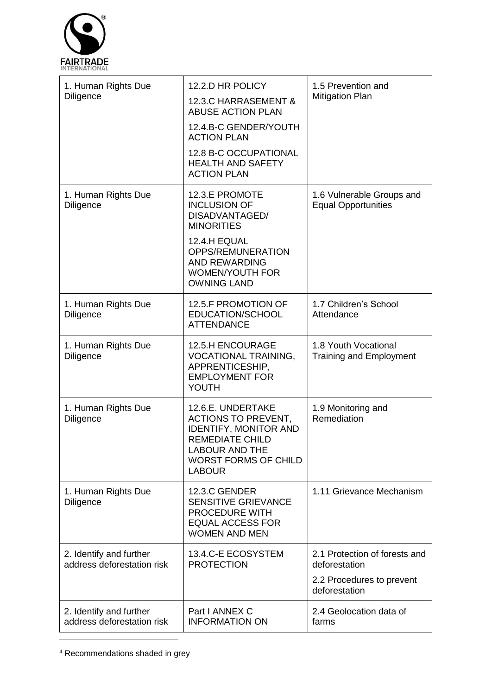

| 1. Human Rights Due<br>Diligence                      | 12.2.D HR POLICY<br>12.3.C HARRASEMENT &<br><b>ABUSE ACTION PLAN</b><br>12.4.B-C GENDER/YOUTH<br><b>ACTION PLAN</b><br>12.8 B-C OCCUPATIONAL<br><b>HEALTH AND SAFETY</b><br><b>ACTION PLAN</b> | 1.5 Prevention and<br><b>Mitigation Plan</b>                                                 |
|-------------------------------------------------------|------------------------------------------------------------------------------------------------------------------------------------------------------------------------------------------------|----------------------------------------------------------------------------------------------|
| 1. Human Rights Due<br>Diligence                      | 12.3.E PROMOTE<br><b>INCLUSION OF</b><br>DISADVANTAGED/<br><b>MINORITIES</b><br>12.4.H EQUAL<br>OPPS/REMUNERATION<br><b>AND REWARDING</b><br><b>WOMEN/YOUTH FOR</b><br><b>OWNING LAND</b>      | 1.6 Vulnerable Groups and<br><b>Equal Opportunities</b>                                      |
| 1. Human Rights Due<br><b>Diligence</b>               | 12.5.F PROMOTION OF<br>EDUCATION/SCHOOL<br><b>ATTENDANCE</b>                                                                                                                                   | 1.7 Children's School<br>Attendance                                                          |
| 1. Human Rights Due<br>Diligence                      | <b>12.5.H ENCOURAGE</b><br><b>VOCATIONAL TRAINING,</b><br>APPRENTICESHIP,<br><b>EMPLOYMENT FOR</b><br>YOUTH                                                                                    | 1.8 Youth Vocational<br><b>Training and Employment</b>                                       |
| 1. Human Rights Due<br><b>Diligence</b>               | 12.6.E. UNDERTAKE<br><b>ACTIONS TO PREVENT,</b><br><b>IDENTIFY, MONITOR AND</b><br>REMEDIATE CHILD<br><b>LABOUR AND THE</b><br><b>WORST FORMS OF CHILD</b><br><b>LABOUR</b>                    | 1.9 Monitoring and<br>Remediation                                                            |
| 1. Human Rights Due<br>Diligence                      | 12.3.C GENDER<br><b>SENSITIVE GRIEVANCE</b><br>PROCEDURE WITH<br><b>EQUAL ACCESS FOR</b><br><b>WOMEN AND MEN</b>                                                                               | 1.11 Grievance Mechanism                                                                     |
| 2. Identify and further<br>address deforestation risk | 13.4.C-E ECOSYSTEM<br><b>PROTECTION</b>                                                                                                                                                        | 2.1 Protection of forests and<br>deforestation<br>2.2 Procedures to prevent<br>deforestation |
| 2. Identify and further<br>address deforestation risk | Part I ANNEX C<br><b>INFORMATION ON</b>                                                                                                                                                        | 2.4 Geolocation data of<br>farms                                                             |

<sup>4</sup> Recommendations shaded in grey

-